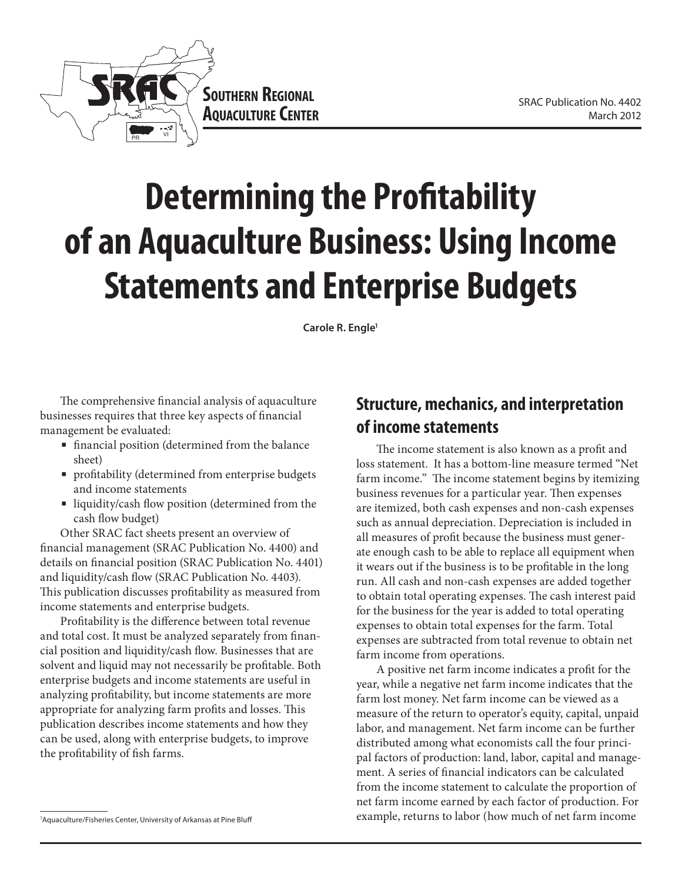

# **Determining the Profitability of an Aquaculture Business: Using Income Statements and Enterprise Budgets**

**Carole R. Engle1**

The comprehensive financial analysis of aquaculture businesses requires that three key aspects of financial management be evaluated:

- financial position (determined from the balance sheet)
- profitability (determined from enterprise budgets and income statements
- liquidity/cash flow position (determined from the cash flow budget)

Other SRAC fact sheets present an overview of financial management (SRAC Publication No. 4400) and details on financial position (SRAC Publication No. 4401) and liquidity/cash flow (SRAC Publication No. 4403). This publication discusses profitability as measured from income statements and enterprise budgets.

Profitability is the difference between total revenue and total cost. It must be analyzed separately from financial position and liquidity/cash flow. Businesses that are solvent and liquid may not necessarily be profitable. Both enterprise budgets and income statements are useful in analyzing profitability, but income statements are more appropriate for analyzing farm profits and losses. This publication describes income statements and how they can be used, along with enterprise budgets, to improve the profitability of fish farms.

The income statement is also known as a profit and loss statement. It has a bottom-line measure termed "Net farm income." The income statement begins by itemizing business revenues for a particular year. Then expenses are itemized, both cash expenses and non-cash expenses such as annual depreciation. Depreciation is included in all measures of profit because the business must generate enough cash to be able to replace all equipment when it wears out if the business is to be profitable in the long run. All cash and non-cash expenses are added together to obtain total operating expenses. The cash interest paid for the business for the year is added to total operating expenses to obtain total expenses for the farm. Total expenses are subtracted from total revenue to obtain net farm income from operations.

A positive net farm income indicates a profit for the year, while a negative net farm income indicates that the farm lost money. Net farm income can be viewed as a measure of the return to operator's equity, capital, unpaid labor, and management. Net farm income can be further distributed among what economists call the four principal factors of production: land, labor, capital and management. A series of financial indicators can be calculated from the income statement to calculate the proportion of net farm income earned by each factor of production. For example, returns to labor (how much of net farm income

**Structure, mechanics, and interpretation of income statements**

<sup>1</sup> Aquaculture/Fisheries Center, University of Arkansas at Pine Bluff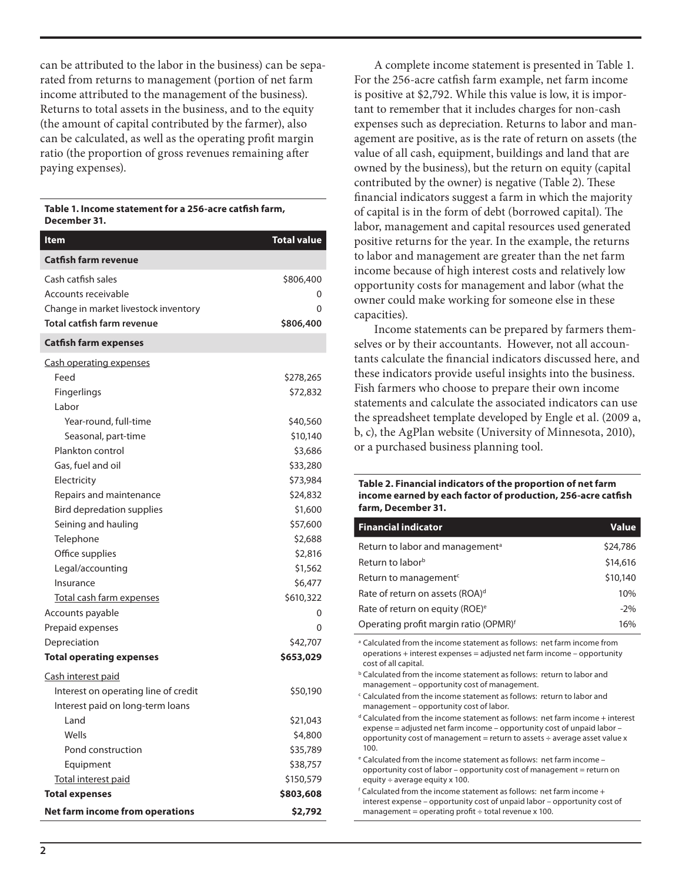can be attributed to the labor in the business) can be separated from returns to management (portion of net farm income attributed to the management of the business). Returns to total assets in the business, and to the equity (the amount of capital contributed by the farmer), also can be calculated, as well as the operating profit margin ratio (the proportion of gross revenues remaining after paying expenses).

#### **Table 1. Income statement for a 256-acre catfish farm, December 31.**

| ltem                                                                                                                                       | <b>Total value</b>                                                 |
|--------------------------------------------------------------------------------------------------------------------------------------------|--------------------------------------------------------------------|
| <b>Catfish farm revenue</b>                                                                                                                |                                                                    |
| Cash catfish sales<br>Accounts receivable<br>Change in market livestock inventory<br>Total catfish farm revenue                            | \$806,400<br>0<br>0<br>\$806,400                                   |
| <b>Catfish farm expenses</b>                                                                                                               |                                                                    |
| <b>Cash operating expenses</b><br>Feed<br>Fingerlings<br>Labor                                                                             | \$278,265<br>\$72,832                                              |
| Year-round, full-time<br>Seasonal, part-time                                                                                               | \$40,560<br>\$10,140                                               |
| Plankton control<br>Gas, fuel and oil<br>Electricity<br>Repairs and maintenance<br><b>Bird depredation supplies</b><br>Seining and hauling | \$3,686<br>\$33,280<br>\$73,984<br>\$24,832<br>\$1,600<br>\$57,600 |
| Telephone                                                                                                                                  | \$2,688                                                            |
| Office supplies<br>Legal/accounting<br>Insurance<br><u>Total cash farm expenses</u>                                                        | \$2,816<br>\$1,562<br>\$6,477<br>\$610,322                         |
| Accounts payable                                                                                                                           | 0                                                                  |
| Prepaid expenses<br>Depreciation<br><b>Total operating expenses</b>                                                                        | 0<br>\$42,707<br>\$653,029                                         |
| Cash interest paid                                                                                                                         |                                                                    |
| Interest on operating line of credit<br>Interest paid on long-term loans                                                                   | \$50,190                                                           |
| Land                                                                                                                                       | \$21,043                                                           |
| Wells<br>Pond construction                                                                                                                 | \$4,800<br>\$35,789                                                |
| Equipment                                                                                                                                  | \$38,757                                                           |
| Total interest paid                                                                                                                        | \$150,579                                                          |
| <b>Total expenses</b>                                                                                                                      | \$803,608                                                          |
| Net farm income from operations                                                                                                            | \$2,792                                                            |

A complete income statement is presented in Table 1. For the 256-acre catfish farm example, net farm income is positive at \$2,792. While this value is low, it is important to remember that it includes charges for non-cash expenses such as depreciation. Returns to labor and management are positive, as is the rate of return on assets (the value of all cash, equipment, buildings and land that are owned by the business), but the return on equity (capital contributed by the owner) is negative (Table 2). These financial indicators suggest a farm in which the majority of capital is in the form of debt (borrowed capital). The labor, management and capital resources used generated positive returns for the year. In the example, the returns to labor and management are greater than the net farm income because of high interest costs and relatively low opportunity costs for management and labor (what the owner could make working for someone else in these capacities).

Income statements can be prepared by farmers themselves or by their accountants. However, not all accountants calculate the financial indicators discussed here, and these indicators provide useful insights into the business. Fish farmers who choose to prepare their own income statements and calculate the associated indicators can use the spreadsheet template developed by Engle et al. (2009 a, b, c), the AgPlan website (University of Minnesota, 2010), or a purchased business planning tool.

### **Table 2. Financial indicators of the proportion of net farm income earned by each factor of production, 256-acre catfish farm, December 31.**

| <b>Financial indicator</b>                  | <b>Value</b> |
|---------------------------------------------|--------------|
| Return to labor and management <sup>a</sup> | \$24,786     |
| Return to labor <sup>b</sup>                | \$14,616     |
| Return to management <sup>c</sup>           | \$10,140     |
| Rate of return on assets (ROA) <sup>d</sup> | 10%          |
| Rate of return on equity (ROE) <sup>e</sup> | $-2\%$       |
| Operating profit margin ratio (OPMR)f       | 16%          |

<sup>a</sup> Calculated from the income statement as follows: net farm income from operations + interest expenses = adjusted net farm income – opportunity cost of all capital.

**b** Calculated from the income statement as follows: return to labor and management – opportunity cost of management.

c Calculated from the income statement as follows: return to labor and management – opportunity cost of labor.

d Calculated from the income statement as follows: net farm income + interest expense = adjusted net farm income – opportunity cost of unpaid labor – opportunity cost of management = return to assets ÷ average asset value x 100.

e Calculated from the income statement as follows: net farm income – opportunity cost of labor – opportunity cost of management = return on equity  $\div$  average equity x 100.

 $f$  Calculated from the income statement as follows: net farm income + interest expense – opportunity cost of unpaid labor – opportunity cost of management = operating profit  $\div$  total revenue x 100.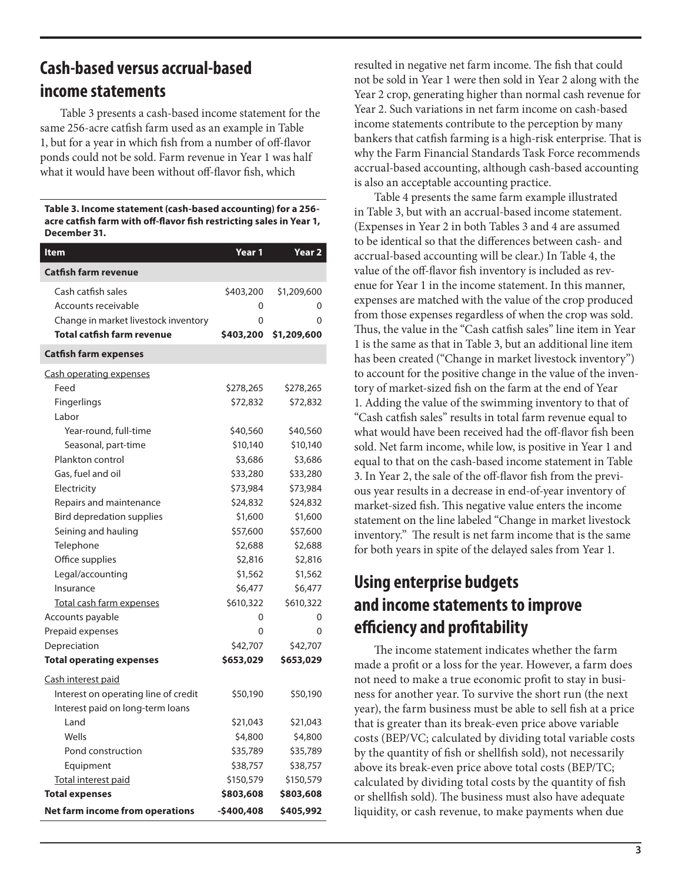## **Cash-based versus accrual-based income statements**

Table 3 presents a cash-based income statement for the same 256-acre catfish farm used as an example in Table 1, but for a year in which fish from a number of off-flavor ponds could not be sold. Farm revenue in Year 1 was half what it would have been without off-flavor fish, which

#### **Table 3. Income statement (cash-based accounting) for a 256 acre catfish farm with off-flavor fish restricting sales in Year 1, December 31.**

| <b>Item</b>                          | Year 1      | Year <sub>2</sub> |
|--------------------------------------|-------------|-------------------|
| <b>Catfish farm revenue</b>          |             |                   |
| Cash catfish sales                   | \$403,200   | \$1,209,600       |
| Accounts receivable                  | 0           | 0                 |
| Change in market livestock inventory | 0           | 0                 |
| <b>Total catfish farm revenue</b>    | \$403,200   | \$1,209,600       |
| <b>Catfish farm expenses</b>         |             |                   |
| <b>Cash operating expenses</b>       |             |                   |
| Feed                                 | \$278,265   | \$278,265         |
| Fingerlings                          | \$72,832    | \$72,832          |
| Labor                                |             |                   |
| Year-round, full-time                | \$40,560    | \$40,560          |
| Seasonal, part-time                  | \$10,140    | \$10,140          |
| Plankton control                     | \$3,686     | \$3,686           |
| Gas, fuel and oil                    | \$33,280    | \$33,280          |
| Electricity                          | \$73,984    | \$73,984          |
| Repairs and maintenance              | \$24,832    | \$24,832          |
| <b>Bird depredation supplies</b>     | \$1,600     | \$1,600           |
| Seining and hauling                  | \$57,600    | \$57,600          |
| Telephone                            | \$2,688     | \$2,688           |
| Office supplies                      | \$2,816     | \$2,816           |
| Legal/accounting                     | \$1,562     | \$1,562           |
| Insurance                            | \$6,477     | \$6,477           |
| Total cash farm expenses             | \$610,322   | \$610,322         |
| Accounts payable                     | 0           | 0                 |
| Prepaid expenses                     | 0           | 0                 |
| Depreciation                         | \$42,707    | \$42,707          |
| <b>Total operating expenses</b>      | \$653,029   | \$653,029         |
| Cash interest paid                   |             |                   |
| Interest on operating line of credit | \$50,190    | \$50,190          |
| Interest paid on long-term loans     |             |                   |
| Land                                 | \$21,043    | \$21,043          |
| Wells                                | \$4,800     | \$4,800           |
| Pond construction                    | \$35,789    | \$35,789          |
| Equipment                            | \$38,757    | \$38,757          |
| Total interest paid                  | \$150,579   | \$150,579         |
| <b>Total expenses</b>                | \$803,608   | \$803,608         |
| Net farm income from operations      | $-5400,408$ | \$405,992         |

resulted in negative net farm income. The fish that could not be sold in Year 1 were then sold in Year 2 along with the Year 2 crop, generating higher than normal cash revenue for Year 2. Such variations in net farm income on cash-based income statements contribute to the perception by many bankers that catfish farming is a high-risk enterprise. That is why the Farm Financial Standards Task Force recommends accrual-based accounting, although cash-based accounting is also an acceptable accounting practice.

Table 4 presents the same farm example illustrated in Table 3, but with an accrual-based income statement. (Expenses in Year 2 in both Tables 3 and 4 are assumed to be identical so that the differences between cash- and accrual-based accounting will be clear.) In Table 4, the value of the off-flavor fish inventory is included as revenue for Year 1 in the income statement. In this manner, expenses are matched with the value of the crop produced from those expenses regardless of when the crop was sold. Thus, the value in the "Cash catfish sales" line item in Year 1 is the same as that in Table 3, but an additional line item has been created ("Change in market livestock inventory") to account for the positive change in the value of the inventory of market-sized fish on the farm at the end of Year 1. Adding the value of the swimming inventory to that of "Cash catfish sales" results in total farm revenue equal to what would have been received had the off-flavor fish been sold. Net farm income, while low, is positive in Year 1 and equal to that on the cash-based income statement in Table 3. In Year 2, the sale of the off-flavor fish from the previous year results in a decrease in end-of-year inventory of market-sized fish. This negative value enters the income statement on the line labeled "Change in market livestock inventory." The result is net farm income that is the same for both years in spite of the delayed sales from Year 1.

## **Using enterprise budgets and income statements to improve efficiency and profitability**

The income statement indicates whether the farm made a profit or a loss for the year. However, a farm does not need to make a true economic profit to stay in business for another year. To survive the short run (the next year), the farm business must be able to sell fish at a price that is greater than its break-even price above variable costs (BEP/VC; calculated by dividing total variable costs by the quantity of fish or shellfish sold), not necessarily above its break-even price above total costs (BEP/TC; calculated by dividing total costs by the quantity of fish or shellfish sold). The business must also have adequate liquidity, or cash revenue, to make payments when due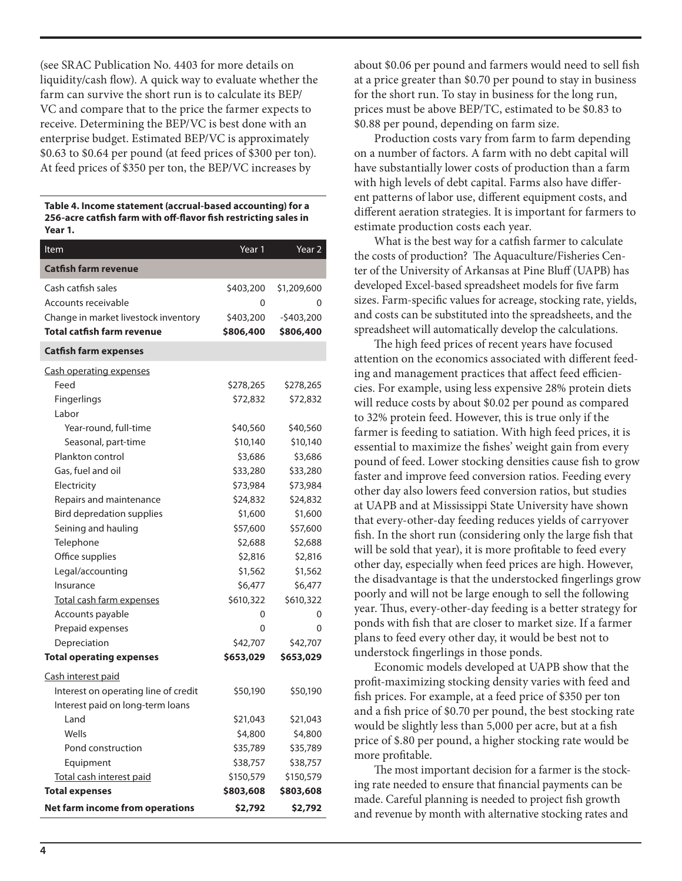(see SRAC Publication No. 4403 for more details on liquidity/cash flow). A quick way to evaluate whether the farm can survive the short run is to calculate its BEP/ VC and compare that to the price the farmer expects to receive. Determining the BEP/VC is best done with an enterprise budget. Estimated BEP/VC is approximately \$0.63 to \$0.64 per pound (at feed prices of \$300 per ton). At feed prices of \$350 per ton, the BEP/VC increases by

**Table 4. Income statement (accrual-based accounting) for a 256-acre catfish farm with off-flavor fish restricting sales in Year 1.**

| Item                                 | Year 1    | Year <sub>2</sub> |
|--------------------------------------|-----------|-------------------|
| <b>Catfish farm revenue</b>          |           |                   |
| Cash catfish sales                   | \$403,200 | \$1,209,600       |
| Accounts receivable                  | 0         | 0                 |
| Change in market livestock inventory | \$403,200 | $-5403,200$       |
| Total catfish farm revenue           | \$806,400 | \$806,400         |
| Catfish farm expenses                |           |                   |
| <u>Cash operating expenses</u>       |           |                   |
| Feed                                 | \$278,265 | \$278,265         |
| Fingerlings                          | \$72,832  | \$72,832          |
| Labor                                |           |                   |
| Year-round, full-time                | \$40,560  | \$40,560          |
| Seasonal, part-time                  | \$10,140  | \$10,140          |
| Plankton control                     | \$3,686   | \$3,686           |
| Gas, fuel and oil                    | \$33,280  | \$33,280          |
| Electricity                          | \$73,984  | \$73,984          |
| Repairs and maintenance              | \$24,832  | \$24,832          |
| Bird depredation supplies            | \$1,600   | \$1,600           |
| Seining and hauling                  | \$57,600  | \$57,600          |
| Telephone                            | \$2,688   | \$2,688           |
| Office supplies                      | \$2,816   | \$2,816           |
| Legal/accounting                     | \$1,562   | \$1,562           |
| Insurance                            | \$6,477   | \$6,477           |
| Total cash farm expenses             | \$610,322 | \$610,322         |
| Accounts payable                     | 0         | 0                 |
| Prepaid expenses                     | $\Omega$  | 0                 |
| Depreciation                         | \$42,707  | \$42,707          |
| <b>Total operating expenses</b>      | \$653,029 | \$653,029         |
| Cash interest paid                   |           |                   |
| Interest on operating line of credit | \$50,190  | \$50,190          |
| Interest paid on long-term loans     |           |                   |
| Land                                 | \$21,043  | \$21,043          |
| Wells                                | \$4,800   | \$4,800           |
| Pond construction                    | \$35,789  | \$35,789          |
| Equipment                            | \$38,757  | \$38,757          |
| Total cash interest paid             | \$150,579 | \$150,579         |
| <b>Total expenses</b>                | \$803,608 | \$803,608         |
| Net farm income from operations      | \$2,792   | \$2,792           |

about \$0.06 per pound and farmers would need to sell fish at a price greater than \$0.70 per pound to stay in business for the short run. To stay in business for the long run, prices must be above BEP/TC, estimated to be \$0.83 to \$0.88 per pound, depending on farm size.

Production costs vary from farm to farm depending on a number of factors. A farm with no debt capital will have substantially lower costs of production than a farm with high levels of debt capital. Farms also have different patterns of labor use, different equipment costs, and different aeration strategies. It is important for farmers to estimate production costs each year.

What is the best way for a catfish farmer to calculate the costs of production? The Aquaculture/Fisheries Center of the University of Arkansas at Pine Bluff (UAPB) has developed Excel-based spreadsheet models for five farm sizes. Farm-specific values for acreage, stocking rate, yields, and costs can be substituted into the spreadsheets, and the spreadsheet will automatically develop the calculations.

The high feed prices of recent years have focused attention on the economics associated with different feeding and management practices that affect feed efficiencies. For example, using less expensive 28% protein diets will reduce costs by about \$0.02 per pound as compared to 32% protein feed. However, this is true only if the farmer is feeding to satiation. With high feed prices, it is essential to maximize the fishes' weight gain from every pound of feed. Lower stocking densities cause fish to grow faster and improve feed conversion ratios. Feeding every other day also lowers feed conversion ratios, but studies at UAPB and at Mississippi State University have shown that every-other-day feeding reduces yields of carryover fish. In the short run (considering only the large fish that will be sold that year), it is more profitable to feed every other day, especially when feed prices are high. However, the disadvantage is that the understocked fingerlings grow poorly and will not be large enough to sell the following year. Thus, every-other-day feeding is a better strategy for ponds with fish that are closer to market size. If a farmer plans to feed every other day, it would be best not to understock fingerlings in those ponds.

Economic models developed at UAPB show that the profit-maximizing stocking density varies with feed and fish prices. For example, at a feed price of \$350 per ton and a fish price of \$0.70 per pound, the best stocking rate would be slightly less than 5,000 per acre, but at a fish price of \$.80 per pound, a higher stocking rate would be more profitable.

The most important decision for a farmer is the stocking rate needed to ensure that financial payments can be made. Careful planning is needed to project fish growth and revenue by month with alternative stocking rates and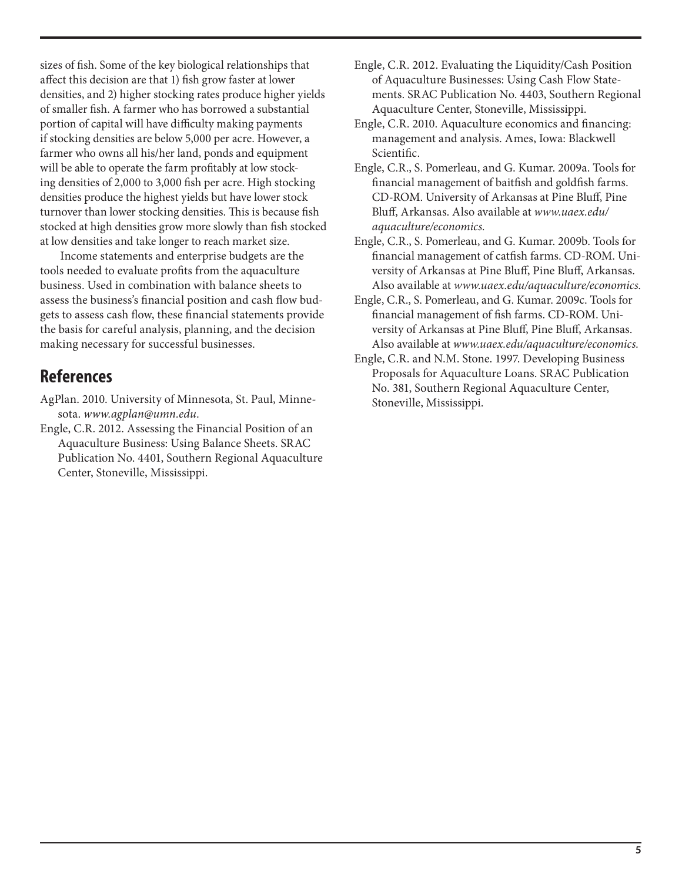sizes of fish. Some of the key biological relationships that affect this decision are that 1) fish grow faster at lower densities, and 2) higher stocking rates produce higher yields of smaller fish. A farmer who has borrowed a substantial portion of capital will have difficulty making payments if stocking densities are below 5,000 per acre. However, a farmer who owns all his/her land, ponds and equipment will be able to operate the farm profitably at low stocking densities of 2,000 to 3,000 fish per acre. High stocking densities produce the highest yields but have lower stock turnover than lower stocking densities. This is because fish stocked at high densities grow more slowly than fish stocked at low densities and take longer to reach market size.

Income statements and enterprise budgets are the tools needed to evaluate profits from the aquaculture business. Used in combination with balance sheets to assess the business's financial position and cash flow budgets to assess cash flow, these financial statements provide the basis for careful analysis, planning, and the decision making necessary for successful businesses.

## **References**

AgPlan. 2010. University of Minnesota, St. Paul, Minnesota. *www.agplan@umn.edu.*

Engle, C.R. 2012. Assessing the Financial Position of an Aquaculture Business: Using Balance Sheets. SRAC Publication No. 4401, Southern Regional Aquaculture Center, Stoneville, Mississippi.

- Engle, C.R. 2012. Evaluating the Liquidity/Cash Position of Aquaculture Businesses: Using Cash Flow Statements. SRAC Publication No. 4403, Southern Regional Aquaculture Center, Stoneville, Mississippi.
- Engle, C.R. 2010. Aquaculture economics and financing: management and analysis. Ames, Iowa: Blackwell Scientific.
- Engle, C.R., S. Pomerleau, and G. Kumar. 2009a. Tools for financial management of baitfish and goldfish farms. CD-ROM. University of Arkansas at Pine Bluff, Pine Bluff, Arkansas. Also available at *www.uaex.edu/ aquaculture/economics.*
- Engle, C.R., S. Pomerleau, and G. Kumar. 2009b. Tools for financial management of catfish farms. CD-ROM. University of Arkansas at Pine Bluff, Pine Bluff, Arkansas. Also available at *www.uaex.edu/aquaculture/economics.*
- Engle, C.R., S. Pomerleau, and G. Kumar. 2009c. Tools for financial management of fish farms. CD-ROM. University of Arkansas at Pine Bluff, Pine Bluff, Arkansas. Also available at *www.uaex.edu/aquaculture/economics.*
- Engle, C.R. and N.M. Stone. 1997. Developing Business Proposals for Aquaculture Loans. SRAC Publication No. 381, Southern Regional Aquaculture Center, Stoneville, Mississippi.